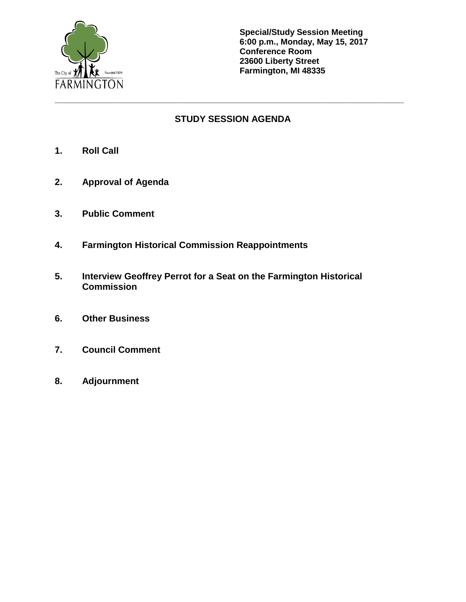

**Special/Study Session Meeting 6:00 p.m., Monday, May 15, 2017 Conference Room 23600 Liberty Street Farmington, MI 48335**

# **STUDY SESSION AGENDA**

**\_\_\_\_\_\_\_\_\_\_\_\_\_\_\_\_\_\_\_\_\_\_\_\_\_\_\_\_\_\_\_\_\_\_\_\_\_\_\_\_\_\_\_\_\_\_\_\_\_\_\_\_\_\_\_\_\_\_\_\_\_\_\_\_\_\_\_\_\_\_\_\_\_\_\_**

- **1. Roll Call**
- **2. Approval of Agenda**
- **3. Public Comment**
- **4. Farmington Historical Commission Reappointments**
- **5. Interview Geoffrey Perrot for a Seat on the Farmington Historical Commission**
- **6. Other Business**
- **7. Council Comment**
- **8. Adjournment**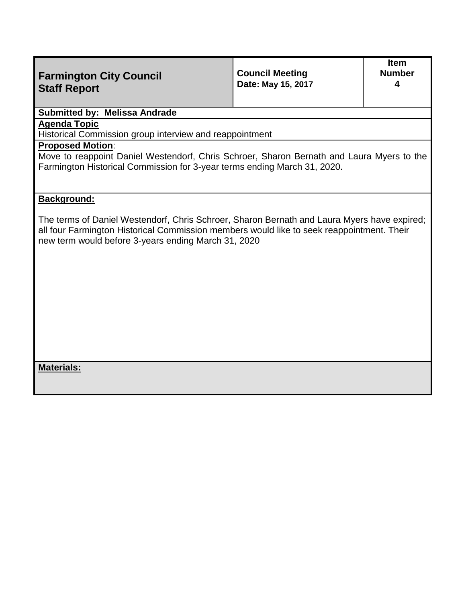| <b>Farmington City Council</b><br><b>Staff Report</b>                                                                                                                                                                                           | <b>Council Meeting</b><br>Date: May 15, 2017 | <b>Item</b><br><b>Number</b><br>4 |  |  |
|-------------------------------------------------------------------------------------------------------------------------------------------------------------------------------------------------------------------------------------------------|----------------------------------------------|-----------------------------------|--|--|
| <b>Submitted by: Melissa Andrade</b>                                                                                                                                                                                                            |                                              |                                   |  |  |
| <b>Agenda Topic</b><br>Historical Commission group interview and reappointment                                                                                                                                                                  |                                              |                                   |  |  |
| <b>Proposed Motion:</b><br>Move to reappoint Daniel Westendorf, Chris Schroer, Sharon Bernath and Laura Myers to the<br>Farmington Historical Commission for 3-year terms ending March 31, 2020.                                                |                                              |                                   |  |  |
| <b>Background:</b>                                                                                                                                                                                                                              |                                              |                                   |  |  |
| The terms of Daniel Westendorf, Chris Schroer, Sharon Bernath and Laura Myers have expired;<br>all four Farmington Historical Commission members would like to seek reappointment. Their<br>new term would before 3-years ending March 31, 2020 |                                              |                                   |  |  |
|                                                                                                                                                                                                                                                 |                                              |                                   |  |  |
|                                                                                                                                                                                                                                                 |                                              |                                   |  |  |
|                                                                                                                                                                                                                                                 |                                              |                                   |  |  |
|                                                                                                                                                                                                                                                 |                                              |                                   |  |  |

**Materials:**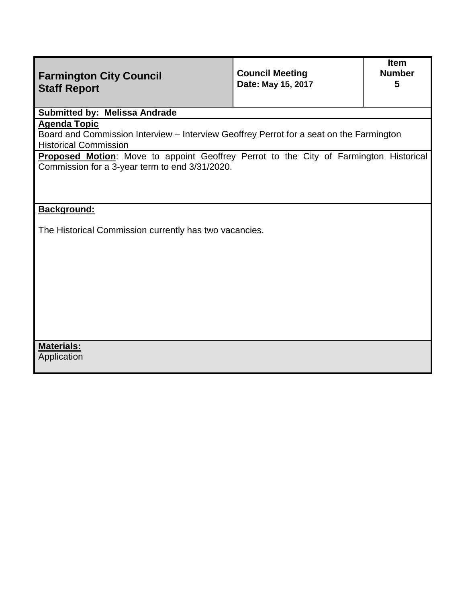| <b>Farmington City Council</b><br><b>Staff Report</b>                                                                                          | <b>Council Meeting</b><br>Date: May 15, 2017 | <b>Item</b><br><b>Number</b><br>5 |  |  |  |
|------------------------------------------------------------------------------------------------------------------------------------------------|----------------------------------------------|-----------------------------------|--|--|--|
| <b>Submitted by: Melissa Andrade</b>                                                                                                           |                                              |                                   |  |  |  |
| <b>Agenda Topic</b><br>Board and Commission Interview - Interview Geoffrey Perrot for a seat on the Farmington<br><b>Historical Commission</b> |                                              |                                   |  |  |  |
| Proposed Motion: Move to appoint Geoffrey Perrot to the City of Farmington Historical<br>Commission for a 3-year term to end 3/31/2020.        |                                              |                                   |  |  |  |
| Background:<br>The Historical Commission currently has two vacancies.                                                                          |                                              |                                   |  |  |  |
|                                                                                                                                                |                                              |                                   |  |  |  |
|                                                                                                                                                |                                              |                                   |  |  |  |
|                                                                                                                                                |                                              |                                   |  |  |  |
| <b>Materials:</b><br>Application                                                                                                               |                                              |                                   |  |  |  |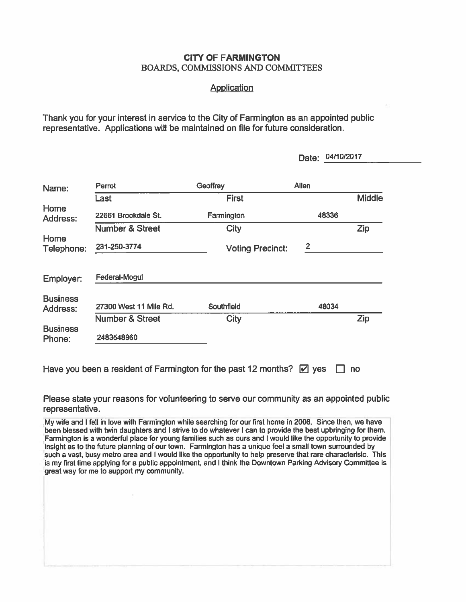#### **CITY OF FARMINGTON BOARDS, COMMISSIONS AND COMMITTEES**

#### **Application**

Thank you for your interest in service to the City of Farmington as an appointed public representative. Applications will be maintained on file for future consideration.

|                           |                            |                         | 04/10/2017<br>Date: |               |
|---------------------------|----------------------------|-------------------------|---------------------|---------------|
| Name:                     | Perrot                     | Geoffrey                | <b>Allen</b>        |               |
|                           | Last                       | <b>First</b>            |                     | <b>Middle</b> |
| Home<br>Address:          | 22661 Brookdale St.        | Farmington              | 48336               |               |
|                           | <b>Number &amp; Street</b> | <b>City</b>             |                     | Zip           |
| Home<br>Telephone:        | 231-250-3774               | <b>Voting Precinct:</b> | $\overline{2}$      |               |
| Employer:                 | Federal-Mogul              |                         |                     |               |
| <b>Business</b>           |                            |                         |                     |               |
| Address:                  | 27300 West 11 Mile Rd.     | Southfield              | 48034               |               |
|                           | <b>Number &amp; Street</b> | <b>City</b>             |                     | Zip           |
| <b>Business</b><br>Phone: | 2483548960                 |                         |                     |               |

Have you been a resident of Farmington for the past 12 months?  $\boxed{\triangleright}$  yes  $\boxed{\square}$  no

Please state your reasons for volunteering to serve our community as an appointed public representative.

My wife and I fell in love with Farmington while searching for our first home in 2008. Since then, we have been blessed with twin daughters and I strive to do whatever I can to provide the best upbringing for them. Farmington is a wonderful place for young families such as ours and I would like the opportunity to provide insight as to the future planning of our town. Farmington has a unique feel a small town surrounded by such a vast, busy metro area and I would like the opportunity to help preserve that rare characterisic. This is my first time applying for a public appointment, and I think the Downtown Parking Advisory Committee is great way for me to support my community.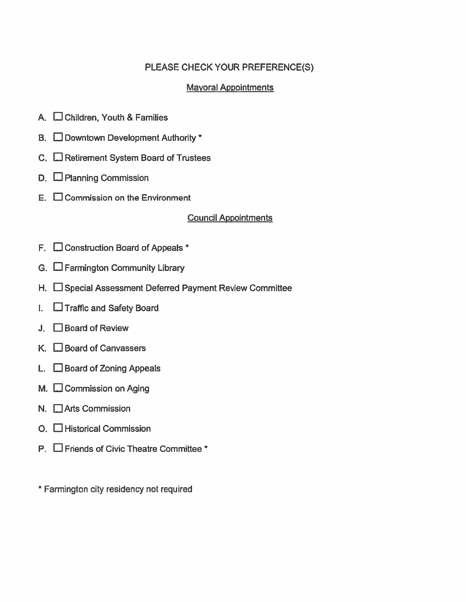# PLEASE CHECK YOUR PREFERENCE(S)

## **Mayoral Appointments**

- A. Children, Youth & Families
- B. Downtown Development Authority \*
- C. Retirement System Board of Trustees
- D. D Planning Commission
- $E.$   $\Box$  Commission on the Environment

### **Council Appointments**

- F.  $\Box$  Construction Board of Appeals  $*$
- G.  $\Box$  Farmington Community Library
- H. □ Special Assessment Deferred Payment Review Committee
- $\Box$  Traffic and Safety Board
- $J.$   $\Box$  Board of Review
- $K.$   $\Box$  Board of Canvassers
- L.  $\Box$  Board of Zoning Appeals
- M. Commission on Aging
- N. Arts Commission
- O. □ Historical Commission
- P. **O** Friends of Civic Theatre Committee \*

\* Farmington city residency not required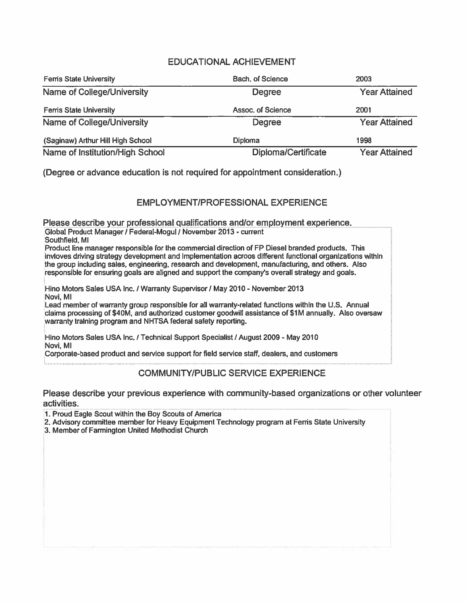### **EDUCATIONAL ACHIEVEMENT**

| <b>Fems State University</b>      | <b>Bach, of Science</b>    | 2003                 |
|-----------------------------------|----------------------------|----------------------|
| Name of College/University        | <b>Degree</b>              | <b>Year Attained</b> |
| <b>Ferris State University</b>    | Assoc. of Science          | 2001                 |
| <b>Name of College/University</b> | Degree                     | <b>Year Attained</b> |
| (Saginaw) Arthur Hill High School | Diploma                    | 1998                 |
| Name of Institution/High School   | <b>Diploma/Certificate</b> | <b>Year Attained</b> |

(Degree or advance education is not required for appointment consideration.)

### **EMPLOYMENT/PROFESSIONAL EXPERIENCE**

Please describe your professional qualifications and/or employment experience. Global Product Manager / Federal-Mogul / November 2013 - current

Southfield, MI

Product line manager responsible for the commercial direction of FP Diesel branded products. This invloves driving strategy development and implementation acroos different functional organizations within the group including sales, engineering, research and development, manufacturing, and others. Also responsible for ensuring goals are aligned and support the company's overall strategy and goals.

Hino Motors Sales USA Inc. / Warranty Supervisor / May 2010 - November 2013 Novi, MI

Lead member of warranty group responsible for all warranty-related functions within the U.S. Annual claims processing of \$40M, and authorized customer goodwill assistance of \$1M annually. Also oversaw warranty training program and NHTSA federal safety reporting.

Hino Motors Sales USA Inc. / Technical Support Specialist / August 2009 - May 2010 Novi, MI

Corporate-based product and service support for field service staff, dealers, and customers

#### **COMMUNITY/PUBLIC SERVICE EXPERIENCE**

Please describe your previous experience with community-based organizations or other volunteer activities.

1. Proud Eagle Scout within the Boy Scouts of America

2. Advisory committee member for Heavy Equipment Technology program at Fems State University

3. Member of Farmington United Methodist Church